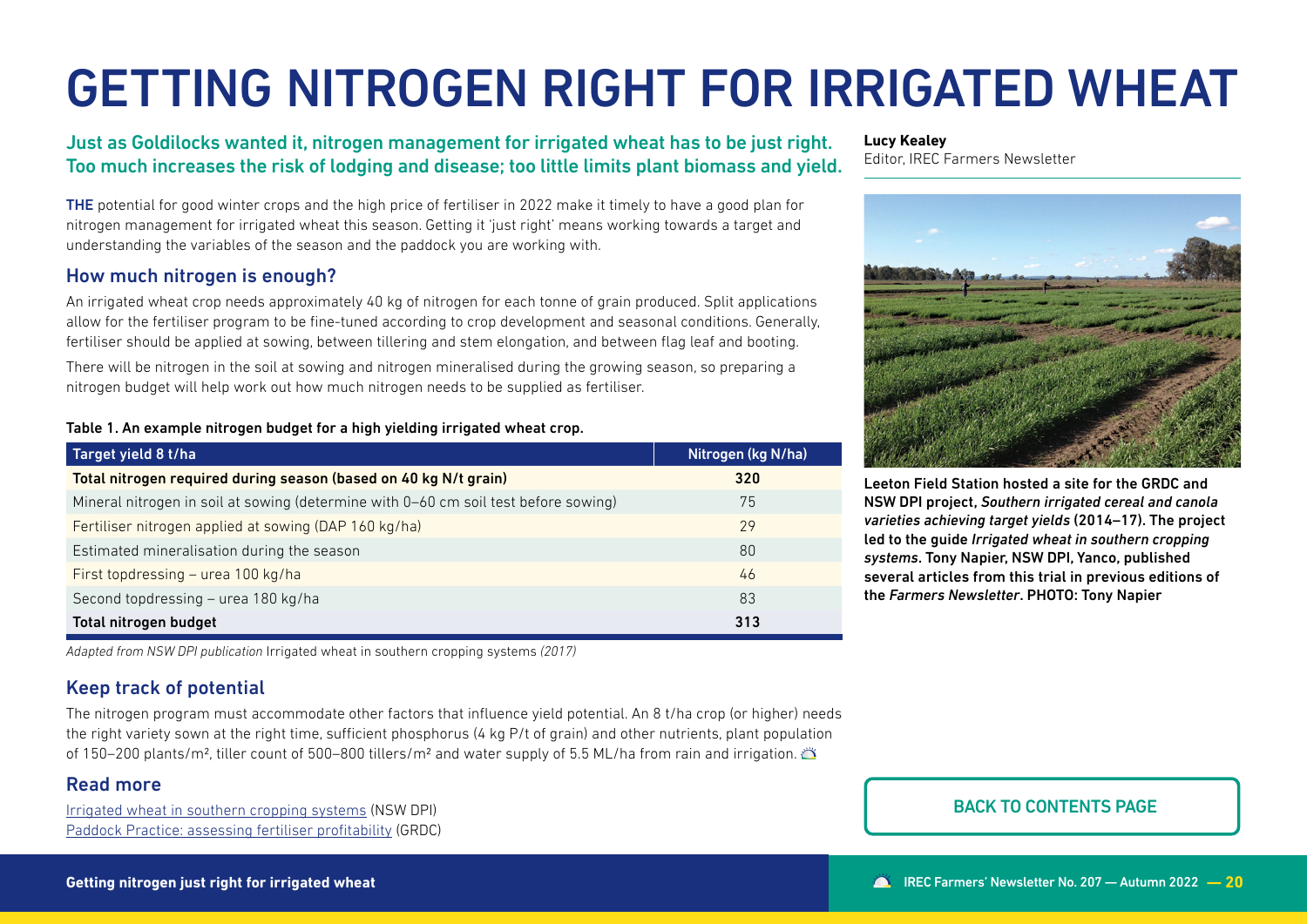# GETTING NITROGEN RIGHT FOR IRRIGATED WHEAT

# Just as Goldilocks wanted it, nitrogen management for irrigated wheat has to be just right. Too much increases the risk of lodging and disease; too little limits plant biomass and yield.

THE potential for good winter crops and the high price of fertiliser in 2022 make it timely to have a good plan for nitrogen management for irrigated wheat this season. Getting it 'just right' means working towards a target and understanding the variables of the season and the paddock you are working with.

## How much nitrogen is enough?

An irrigated wheat crop needs approximately 40 kg of nitrogen for each tonne of grain produced. Split applications allow for the fertiliser program to be fine-tuned according to crop development and seasonal conditions. Generally, fertiliser should be applied at sowing, between tillering and stem elongation, and between flag leaf and booting.

There will be nitrogen in the soil at sowing and nitrogen mineralised during the growing season, so preparing a nitrogen budget will help work out how much nitrogen needs to be supplied as fertiliser.

#### Table 1. An example nitrogen budget for a high yielding irrigated wheat crop.

| Target yield 8 t/ha                                                                 | Nitrogen (kg N/ha) |
|-------------------------------------------------------------------------------------|--------------------|
| Total nitrogen required during season (based on 40 kg N/t grain)                    | 320                |
| Mineral nitrogen in soil at sowing (determine with 0-60 cm soil test before sowing) | 75                 |
| Fertiliser nitrogen applied at sowing (DAP 160 kg/ha)                               | 29                 |
| Estimated mineralisation during the season                                          | 80                 |
| First topdressing - urea 100 kg/ha                                                  | 46                 |
| Second topdressing - urea 180 kg/ha                                                 | 83                 |
| Total nitrogen budget                                                               | 313                |

*Adapted from NSW DPI publication* Irrigated wheat in southern cropping systems *(2017)*

# Keep track of potential

The nitrogen program must accommodate other factors that influence yield potential. An 8 t/ha crop (or higher) needs the right variety sown at the right time, sufficient phosphorus (4 kg P/t of grain) and other nutrients, plant population of 150–200 plants/m2, tiller count of 500–800 tillers/m2 and water supply of 5.5 ML/ha from rain and irrigation.

## Read more

[Irrigated wheat in southern cropping systems](https://www.dpi.nsw.gov.au/agriculture/water/irrigation/crops/irrigated-wheat-in-southern-cropping-systems) (NSW DPI) [Paddock Practice: assessing fertiliser profitability](https://grdc.com.au/news-and-media/news-and-media-releases/national/2022/paddock-practice-assessing-fertiliser-profitability#msdynttrid=jFI69_tHcBq7Bt57g6NJS774x5Dbr6asK6T6SGdCky8) (GRDC)

#### **Lucy Kealey**

Editor, IREC Farmers Newsletter



Leeton Field Station hosted a site for the GRDC and NSW DPI project, *Southern irrigated cereal and canola varieties achieving target yields* (2014–17). The project led to the guide *Irrigated wheat in southern cropping systems*. Tony Napier, NSW DPI, Yanco, published several articles from this trial in previous editions of the *Farmers Newsletter*. PHOTO: Tony Napier

#### BACK TO CONTENTS PAGE